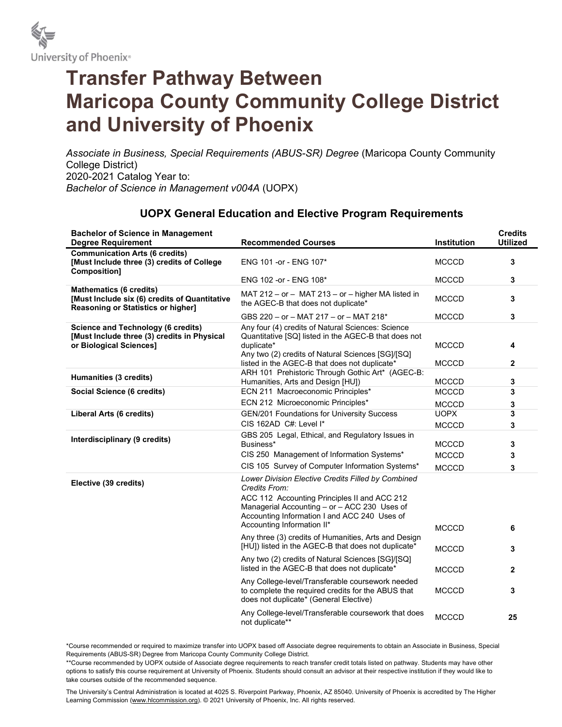

## Transfer Pathway Between Maricopa County Community College District and University of Phoenix

Associate in Business, Special Requirements (ABUS-SR) Degree (Maricopa County Community College District) 2020-2021 Catalog Year to: Bachelor of Science in Management v004A (UOPX)

## UOPX General Education and Elective Program Requirements

| <b>Bachelor of Science in Management</b><br><b>Degree Requirement</b>                                                        | <b>Recommended Courses</b>                                                                                                                                                                                          | Institution  | <b>Credits</b><br><b>Utilized</b> |
|------------------------------------------------------------------------------------------------------------------------------|---------------------------------------------------------------------------------------------------------------------------------------------------------------------------------------------------------------------|--------------|-----------------------------------|
| <b>Communication Arts (6 credits)</b><br>[Must Include three (3) credits of College<br>Composition]                          | ENG 101 -or - ENG 107*                                                                                                                                                                                              | <b>MCCCD</b> | 3                                 |
|                                                                                                                              | ENG 102 -or - ENG 108*                                                                                                                                                                                              | <b>MCCCD</b> | 3                                 |
| <b>Mathematics (6 credits)</b><br>[Must Include six (6) credits of Quantitative<br><b>Reasoning or Statistics or higher]</b> | MAT 212 $-$ or $-$ MAT 213 $-$ or $-$ higher MA listed in<br>the AGEC-B that does not duplicate*                                                                                                                    | <b>MCCCD</b> | 3                                 |
|                                                                                                                              | GBS 220 - or - MAT 217 - or - MAT 218*                                                                                                                                                                              | <b>MCCCD</b> | 3                                 |
| <b>Science and Technology (6 credits)</b><br>[Must Include three (3) credits in Physical<br>or Biological Sciences]          | Any four (4) credits of Natural Sciences: Science<br>Quantitative [SQ] listed in the AGEC-B that does not<br>duplicate*<br>Any two (2) credits of Natural Sciences [SG]/[SQ]                                        | <b>MCCCD</b> | 4                                 |
|                                                                                                                              | listed in the AGEC-B that does not duplicate*<br>ARH 101 Prehistoric Through Gothic Art* (AGEC-B:                                                                                                                   | <b>MCCCD</b> | 2                                 |
| Humanities (3 credits)                                                                                                       | Humanities, Arts and Design [HU])                                                                                                                                                                                   | <b>MCCCD</b> | 3                                 |
| Social Science (6 credits)                                                                                                   | ECN 211 Macroeconomic Principles*                                                                                                                                                                                   | <b>MCCCD</b> | 3                                 |
|                                                                                                                              | ECN 212 Microeconomic Principles*                                                                                                                                                                                   | <b>MCCCD</b> | 3                                 |
| Liberal Arts (6 credits)                                                                                                     | GEN/201 Foundations for University Success                                                                                                                                                                          | <b>UOPX</b>  | 3                                 |
|                                                                                                                              | CIS 162AD C#: Level I*                                                                                                                                                                                              | <b>MCCCD</b> | 3                                 |
| Interdisciplinary (9 credits)                                                                                                | GBS 205 Legal, Ethical, and Regulatory Issues in<br>Business*                                                                                                                                                       | <b>MCCCD</b> | 3                                 |
|                                                                                                                              | CIS 250 Management of Information Systems*                                                                                                                                                                          | <b>MCCCD</b> | 3                                 |
|                                                                                                                              | CIS 105 Survey of Computer Information Systems*                                                                                                                                                                     | <b>MCCCD</b> | 3                                 |
| Elective (39 credits)                                                                                                        | Lower Division Elective Credits Filled by Combined<br>Credits From:<br>ACC 112 Accounting Principles II and ACC 212<br>Managerial Accounting - or - ACC 230 Uses of<br>Accounting Information I and ACC 240 Uses of |              |                                   |
|                                                                                                                              | Accounting Information II*                                                                                                                                                                                          | <b>MCCCD</b> | 6                                 |
|                                                                                                                              | Any three (3) credits of Humanities, Arts and Design<br>[HU]) listed in the AGEC-B that does not duplicate*                                                                                                         | <b>MCCCD</b> | 3                                 |
|                                                                                                                              | Any two (2) credits of Natural Sciences [SG]/[SQ]<br>listed in the AGEC-B that does not duplicate*                                                                                                                  | <b>MCCCD</b> | 2                                 |
|                                                                                                                              | Any College-level/Transferable coursework needed<br>to complete the required credits for the ABUS that<br>does not duplicate* (General Elective)                                                                    | <b>MCCCD</b> | 3                                 |
|                                                                                                                              | Any College-level/Transferable coursework that does<br>not duplicate**                                                                                                                                              | <b>MCCCD</b> | 25                                |

\*Course recommended or required to maximize transfer into UOPX based off Associate degree requirements to obtain an Associate in Business, Special Requirements (ABUS-SR) Degree from Maricopa County Community College District.

\*\*Course recommended by UOPX outside of Associate degree requirements to reach transfer credit totals listed on pathway. Students may have other options to satisfy this course requirement at University of Phoenix. Students should consult an advisor at their respective institution if they would like to take courses outside of the recommended sequence.

The University's Central Administration is located at 4025 S. Riverpoint Parkway, Phoenix, AZ 85040. University of Phoenix is accredited by The Higher Learning Commission (www.hlcommission.org). © 2021 University of Phoenix, Inc. All rights reserved.